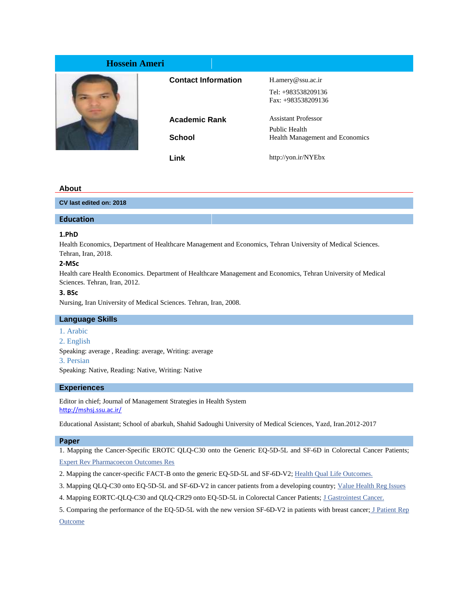| <b>Hossein Ameri</b> |                            |                                 |
|----------------------|----------------------------|---------------------------------|
|                      | <b>Contact Information</b> | $H$ .amery@ssu.ac.ir            |
|                      |                            | Tel: +983538209136              |
|                      |                            | Fax: +983538209136              |
|                      | <b>Academic Rank</b>       | <b>Assistant Professor</b>      |
|                      |                            | Public Health                   |
|                      | <b>School</b>              | Health Management and Economics |
|                      | Link                       | http://yon.ir/NYEbx             |

### **About**

**CV last edited on: 2018**

# **Education**

# **1.PhD**

Health Economics, Department of Healthcare Management and Economics, Tehran University of Medical Sciences. Tehran, Iran, 2018.

## **2-MSc**

Health care Health Economics. Department of Healthcare Management and Economics, Tehran University of Medical Sciences. Tehran, Iran, 2012.

### **3. BSc**

Nursing, Iran University of Medical Sciences. Tehran, Iran, 2008.

#### **Language Skills**

- 1. Arabic
- 2. English

Speaking: average , Reading: average, Writing: average

3. Persian

Speaking: Native, Reading: Native, Writing: Native

## **Experiences**

Editor in chief; Journal of Management Strategies in Health System <http://mshsj.ssu.ac.ir/>

Educational Assistant; School of abarkuh, Shahid Sadoughi University of Medical Sciences, Yazd, Iran.2012-2017

#### **Paper**

1. Mapping the Cancer-Specific EROTC QLQ-C30 onto the Generic EQ-5D-5L and SF-6D in Colorectal Cancer Patients; [Expert Rev Pharmacoecon Outcomes Res](https://www.ncbi.nlm.nih.gov/pubmed/30173585)

- 2. Mapping the cancer-specific FACT-B onto the generic EQ-5D-5L and SF-6D-V2; [Health Qual](https://www.ncbi.nlm.nih.gov/pubmed/?term=Religious+practices+and+changes+in+health-related+quality+of+life+after+hospital+discharge+for+an+acute+coronary+syndrome) Life Outcomes.
- 3. Mapping QLQ-C30 onto EQ-5D-5L and SF-6D-V2 in cancer patients from a developing country; Value Health Reg Issues
- 4. Mapping EORTC-QLQ-C30 and QLQ-CR29 onto EQ-5D-5L in Colorectal Cancer Patients; [J Gastrointest](https://www.ncbi.nlm.nih.gov/pubmed/?term=Mapping+EORTC-QLQ-C30+and+QLQ-CR29+onto+EQ-5D-5L+in+Colorectal+Cancer+Patients) Cancer.

5. Comparing the performance of the EQ-5D-5L with the new version SF-6D-V2 in patients with breast cancer; J Patient Rep **[Outcome](https://www.ncbi.nlm.nih.gov/pubmed/?term=Development+and+validation+of+the+Axillary+Sweating+Daily+Diary%3A+a+patient-reported+outcome+measure+to+assess+axillary+sweating+severity)**